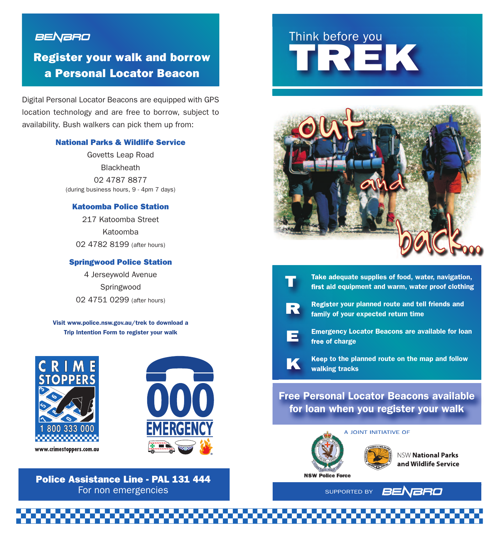## **BENBRO**

# **Register your walk and borrow a Personal Locator Beacon**

Digital Personal Locator Beacons are equipped with GPS location technology and are free to borrow, subject to availability. Bush walkers can pick them up from:

#### **National Parks & Wildlife Service**

Govetts Leap Road **Blackheath** 02 4787 8877 (during business hours, 9 - 4pm 7 days)

#### **Katoomba Police Station**

217 Katoomba Street Katoomba 02 4782 8199 (after hours)

#### **Springwood Police Station**

4 Jerseywold Avenue Springwood 02 4751 0299 (after hours)

**Visit www.police.nsw.gov.au/trek to download a Trip Intention Form to register your walk**



### **Police Assistance Line - PAL 131 444** For non emergencies SUPPORTED BY

# Think before you Think before you





**E**

**K**

**Take adequate supplies of food, water, navigation, first aid equipment and warm, water proof clothing**

- **Register your planned route and tell friends and family of your expected return time**
- **Emergency Locator Beacons are available for loan free of charge**
- **Keep to the planned route on the map and follow walking tracks**

## **Free Personal Locator Beacons available for loan when you register your walk**





**NSW National Parks** and Wildlife Service

**NSW Police Force** 

BENBRO